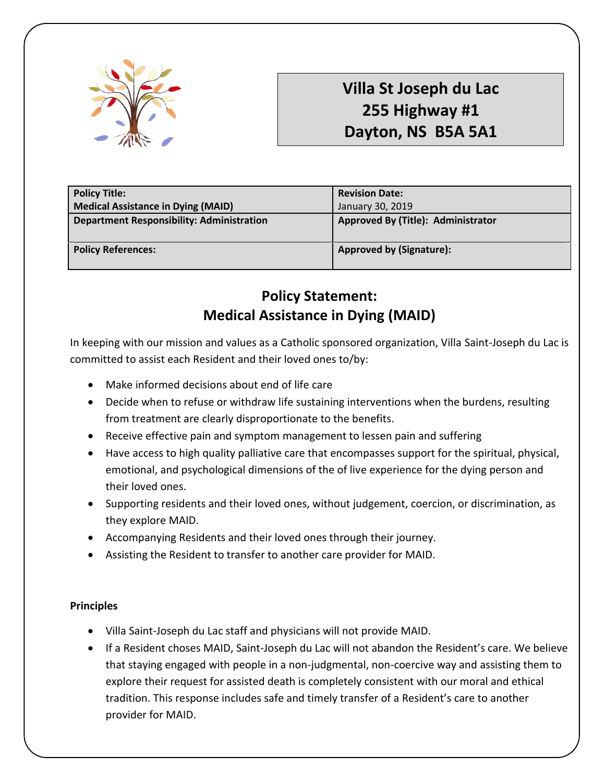

## **Villa St Joseph du Lac 255 Highway #1 Dayton, NS B5A 5A1**

| <b>Policy Title:</b>                      | <b>Revision Date:</b>              |
|-------------------------------------------|------------------------------------|
| Medical Assistance in Dying (MAID)        | January 30, 2019                   |
| Department Responsibility: Administration | Approved By (Title): Administrator |
|                                           |                                    |
| <b>Policy References:</b>                 | <b>Approved by (Signature):</b>    |

## **Policy Statement: Medical Assistance in Dying (MAID)**

In keeping with our mission and values as a Catholic sponsored organization, Villa Saint-Joseph du Lac is committed to assist each Resident and their loved ones to/by:

- Make informed decisions about end of life care
- Decide when to refuse or withdraw life sustaining interventions when the burdens, resulting from treatment are clearly disproportionate to the benefits.
- Receive effective pain and symptom management to lessen pain and suffering
- Have access to high quality palliative care that encompasses support for the spiritual, physical, emotional, and psychological dimensions of the of live experience for the dying person and their loved ones.
- Supporting residents and their loved ones, without judgement, coercion, or discrimination, as they explore MAID.
- Accompanying Residents and their loved ones through their journey.
- Assisting the Resident to transfer to another care provider for MAID.

## **Principles**

- Villa Saint-Joseph du Lac staff and physicians will not provide MAID.
- If a Resident choses MAID, Saint-Joseph du Lac will not abandon the Resident's care. We believe that staying engaged with people in a non-judgmental, non-coercive way and assisting them to explore their request for assisted death is completely consistent with our moral and ethical tradition. This response includes safe and timely transfer of a Resident's care to another provider for MAID.